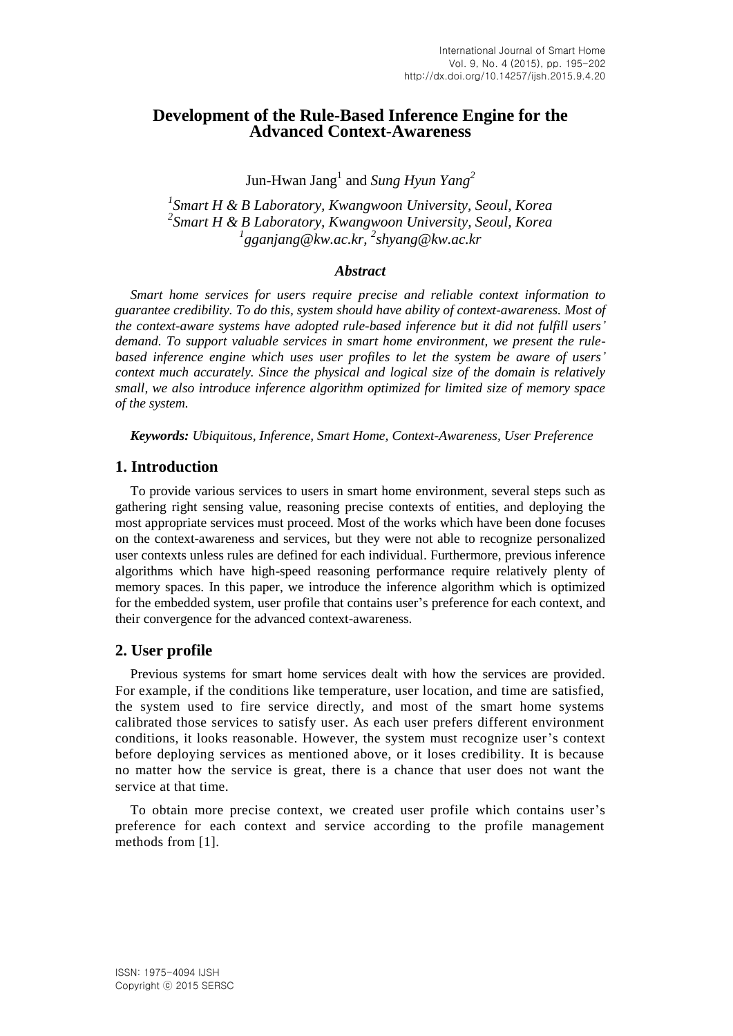# **Development of the Rule-Based Inference Engine for the Advanced Context-Awareness**

Jun-Hwan Jang<sup>1</sup> and *Sung Hyun Yang*<sup>2</sup>

*1 Smart H & B Laboratory, Kwangwoon University, Seoul, Korea 2 Smart H & B Laboratory, Kwangwoon University, Seoul, Korea 1 gganjang@kw.ac.kr, 2 shyang@kw.ac.kr*

#### *Abstract*

*Smart home services for users require precise and reliable context information to guarantee credibility. To do this, system should have ability of context-awareness. Most of the context-aware systems have adopted rule-based inference but it did not fulfill users' demand. To support valuable services in smart home environment, we present the rulebased inference engine which uses user profiles to let the system be aware of users' context much accurately. Since the physical and logical size of the domain is relatively small, we also introduce inference algorithm optimized for limited size of memory space of the system.*

*Keywords: Ubiquitous, Inference, Smart Home, Context-Awareness, User Preference*

## **1. Introduction**

To provide various services to users in smart home environment, several steps such as gathering right sensing value, reasoning precise contexts of entities, and deploying the most appropriate services must proceed. Most of the works which have been done focuses on the context-awareness and services, but they were not able to recognize personalized user contexts unless rules are defined for each individual. Furthermore, previous inference algorithms which have high-speed reasoning performance require relatively plenty of memory spaces. In this paper, we introduce the inference algorithm which is optimized for the embedded system, user profile that contains user's preference for each context, and their convergence for the advanced context-awareness.

## **2. User profile**

Previous systems for smart home services dealt with how the services are provided. For example, if the conditions like temperature, user location, and time are satisfied, the system used to fire service directly, and most of the smart home systems calibrated those services to satisfy user. As each user prefers different environment conditions, it looks reasonable. However, the system must recognize user's context before deploying services as mentioned above, or it loses credibility. It is because no matter how the service is great, there is a chance that user does not want the service at that time.

To obtain more precise context, we created user profile which contains user's preference for each context and service according to the profile management methods from [1].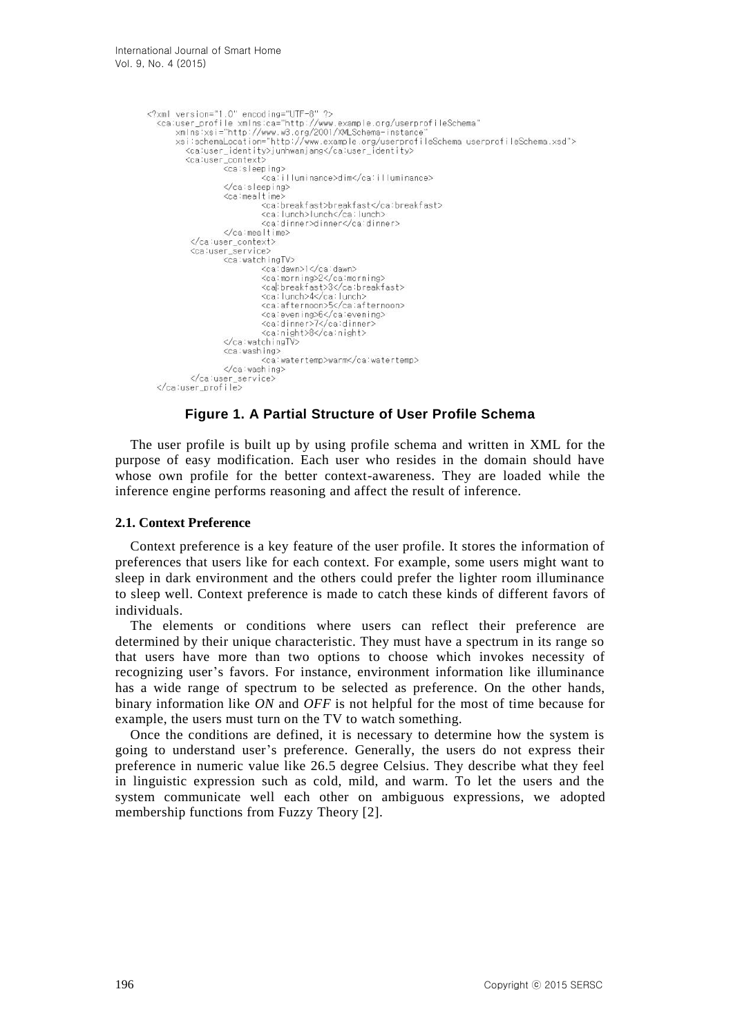```
<?xml version="1.0" encoding="UTF-8" ?><br><ca:user_profile xmlns:ca="http://www.example.org/userprofileSchema"<br>xmlns:xsi="http://www.w3.org/2001/XMLSchema-instance"
     xsi:schemaLocation="http://www.example.org/userprofileSchema userprofileSchema.xsd">
       <ca:user_identity>junhwanjang</ca:user_identity>
       <ca:user_context>
                 <ca:sleeping>
                           <ca:illuminance>dim</ca:illuminance>
                 </ca:sleeping>
                 <ca:mealtime>
                           <ca:breakfast>breakfast</ca:breakfast>
                           <ca: lunch>lunch</ca: lunch>
                           <ca:dinner>dinner</ca:dinner>
                 </ca:mealtime>
         </ca:user_context>
        <ca:user_service><br><ca:watchingTV>
                           <ca:lunch>4</ca:lunch><br><ca:afternoon>5</ca:afternoon>
                           <ca:evening>6</ca:evening>
                           <ca:dinner>7</ca:dinner>
                           <ca:night>8</ca:night>
                 </ca:watchingTV>
                 <ca:washing>
                           <ca:watertemp>warm</ca:watertemp>
                 </ca:washing>
ca:washin><br></ca:user_service><br></ca:user_profile>
```
## **Figure 1. A Partial Structure of User Profile Schema**

The user profile is built up by using profile schema and written in XML for the purpose of easy modification. Each user who resides in the domain should have whose own profile for the better context-awareness. They are loaded while the inference engine performs reasoning and affect the result of inference.

#### **2.1. Context Preference**

Context preference is a key feature of the user profile. It stores the information of preferences that users like for each context. For example, some users might want to sleep in dark environment and the others could prefer the lighter room illuminance to sleep well. Context preference is made to catch these kinds of different favors of individuals.

The elements or conditions where users can reflect their preference are determined by their unique characteristic. They must have a spectrum in its range so that users have more than two options to choose which invokes necessity of recognizing user's favors. For instance, environment information like illuminance has a wide range of spectrum to be selected as preference. On the other hands, binary information like *ON* and *OFF* is not helpful for the most of time because for example, the users must turn on the TV to watch something.

Once the conditions are defined, it is necessary to determine how the system is going to understand user's preference. Generally, the users do not express their preference in numeric value like 26.5 degree Celsius. They describe what they feel in linguistic expression such as cold, mild, and warm. To let the users and the system communicate well each other on ambiguous expressions, we adopted membership functions from Fuzzy Theory [2].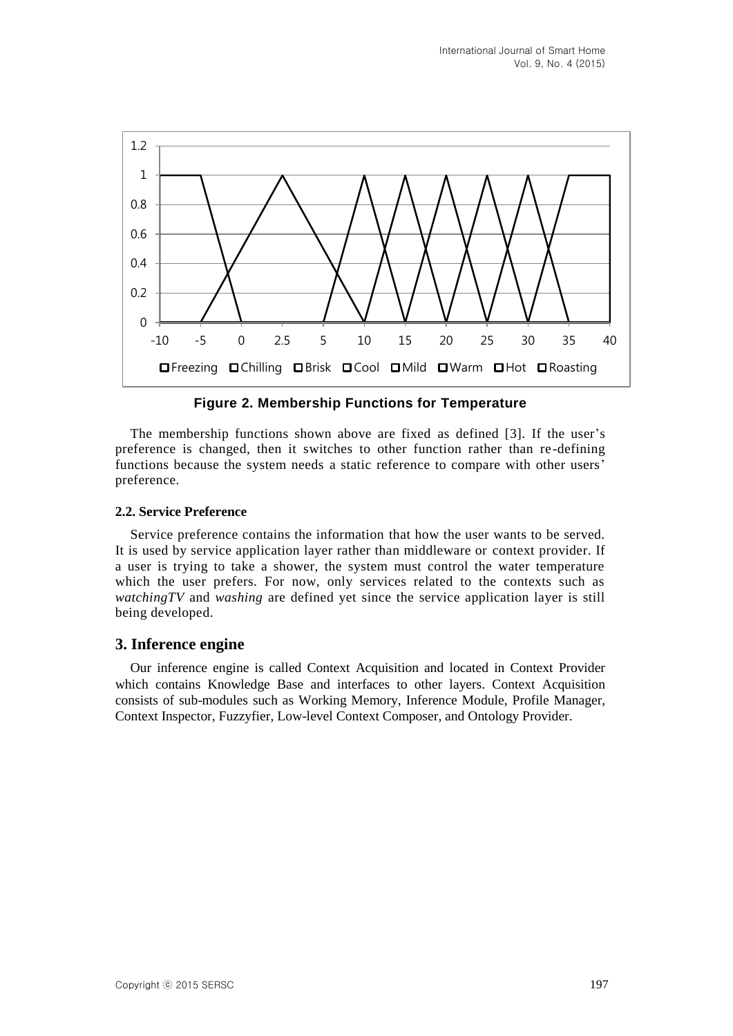

**Figure 2. Membership Functions for Temperature**

The membership functions shown above are fixed as defined [3]. If the user's preference is changed, then it switches to other function rather than re -defining functions because the system needs a static reference to compare with other users' preference.

## **2.2. Service Preference**

Service preference contains the information that how the user wants to be served. It is used by service application layer rather than middleware or context provider. If a user is trying to take a shower, the system must control the water temperature which the user prefers. For now, only services related to the contexts such as *watchingTV* and *washing* are defined yet since the service application layer is still being developed.

# **3. Inference engine**

Our inference engine is called Context Acquisition and located in Context Provider which contains Knowledge Base and interfaces to other layers. Context Acquisition consists of sub-modules such as Working Memory, Inference Module, Profile Manager, Context Inspector, Fuzzyfier, Low-level Context Composer, and Ontology Provider.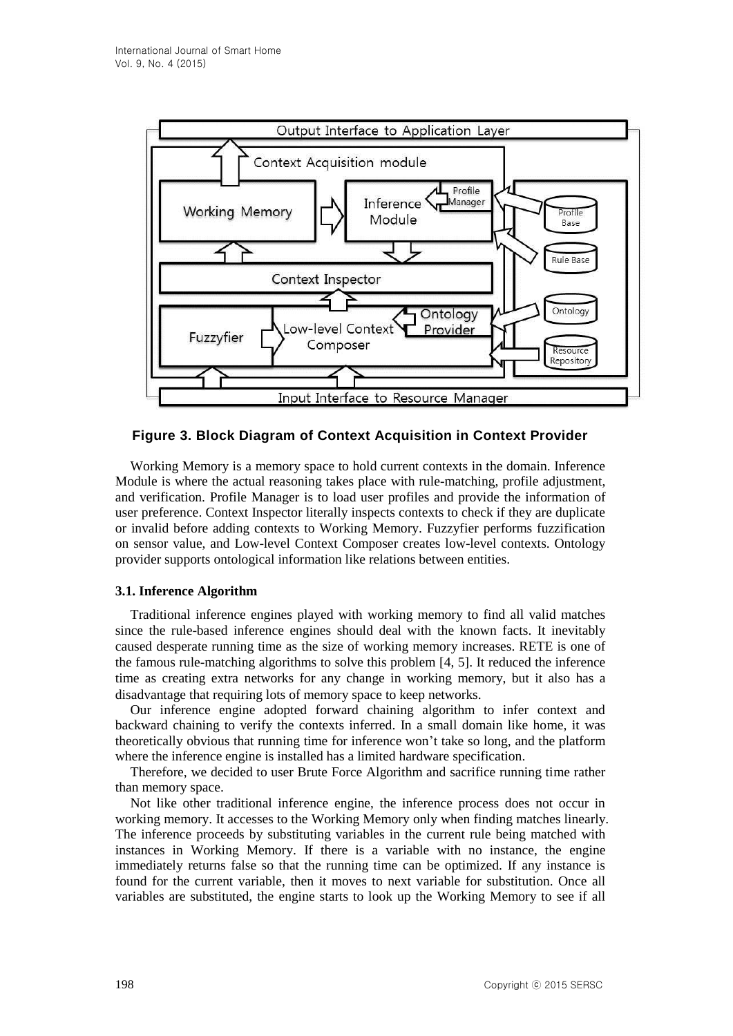

**Figure 3. Block Diagram of Context Acquisition in Context Provider**

Working Memory is a memory space to hold current contexts in the domain. Inference Module is where the actual reasoning takes place with rule-matching, profile adjustment, and verification. Profile Manager is to load user profiles and provide the information of user preference. Context Inspector literally inspects contexts to check if they are duplicate or invalid before adding contexts to Working Memory. Fuzzyfier performs fuzzification on sensor value, and Low-level Context Composer creates low-level contexts. Ontology provider supports ontological information like relations between entities.

## **3.1. Inference Algorithm**

Traditional inference engines played with working memory to find all valid matches since the rule-based inference engines should deal with the known facts. It inevitably caused desperate running time as the size of working memory increases. RETE is one of the famous rule-matching algorithms to solve this problem [4, 5]. It reduced the inference time as creating extra networks for any change in working memory, but it also has a disadvantage that requiring lots of memory space to keep networks.

Our inference engine adopted forward chaining algorithm to infer context and backward chaining to verify the contexts inferred. In a small domain like home, it was theoretically obvious that running time for inference won't take so long, and the platform where the inference engine is installed has a limited hardware specification.

Therefore, we decided to user Brute Force Algorithm and sacrifice running time rather than memory space.

Not like other traditional inference engine, the inference process does not occur in working memory. It accesses to the Working Memory only when finding matches linearly. The inference proceeds by substituting variables in the current rule being matched with instances in Working Memory. If there is a variable with no instance, the engine immediately returns false so that the running time can be optimized. If any instance is found for the current variable, then it moves to next variable for substitution. Once all variables are substituted, the engine starts to look up the Working Memory to see if all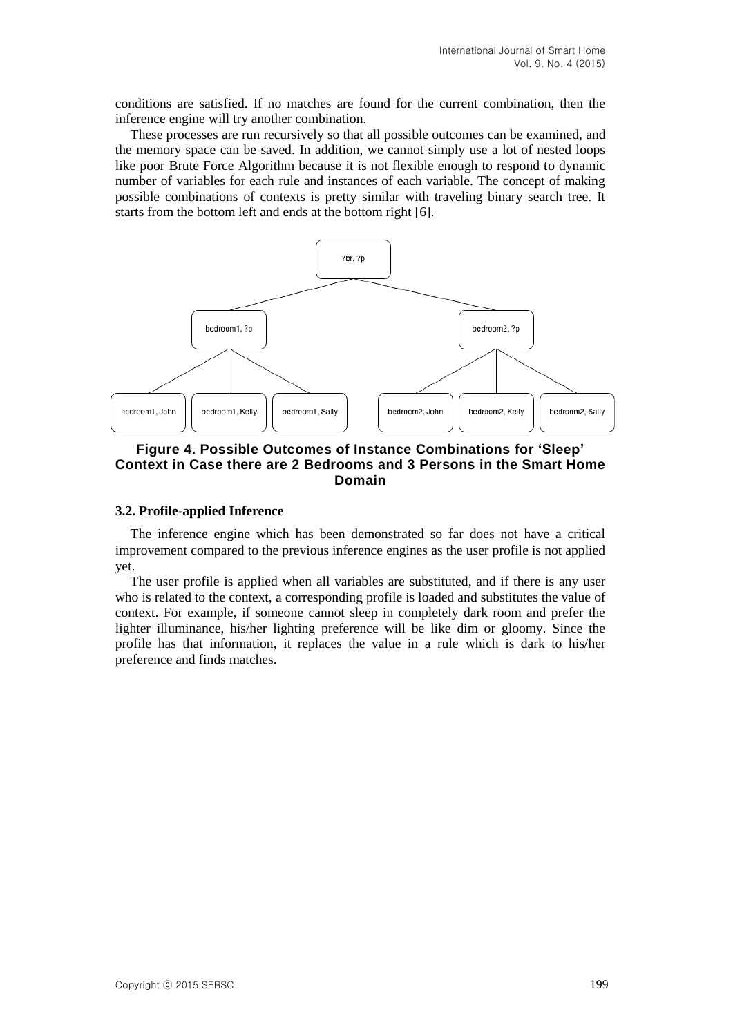conditions are satisfied. If no matches are found for the current combination, then the inference engine will try another combination.

These processes are run recursively so that all possible outcomes can be examined, and the memory space can be saved. In addition, we cannot simply use a lot of nested loops like poor Brute Force Algorithm because it is not flexible enough to respond to dynamic number of variables for each rule and instances of each variable. The concept of making possible combinations of contexts is pretty similar with traveling binary search tree. It starts from the bottom left and ends at the bottom right [6].



**Figure 4. Possible Outcomes of Instance Combinations for 'Sleep' Context in Case there are 2 Bedrooms and 3 Persons in the Smart Home Domain**

#### **3.2. Profile-applied Inference**

The inference engine which has been demonstrated so far does not have a critical improvement compared to the previous inference engines as the user profile is not applied yet.

The user profile is applied when all variables are substituted, and if there is any user who is related to the context, a corresponding profile is loaded and substitutes the value of context. For example, if someone cannot sleep in completely dark room and prefer the lighter illuminance, his/her lighting preference will be like dim or gloomy. Since the profile has that information, it replaces the value in a rule which is dark to his/her preference and finds matches.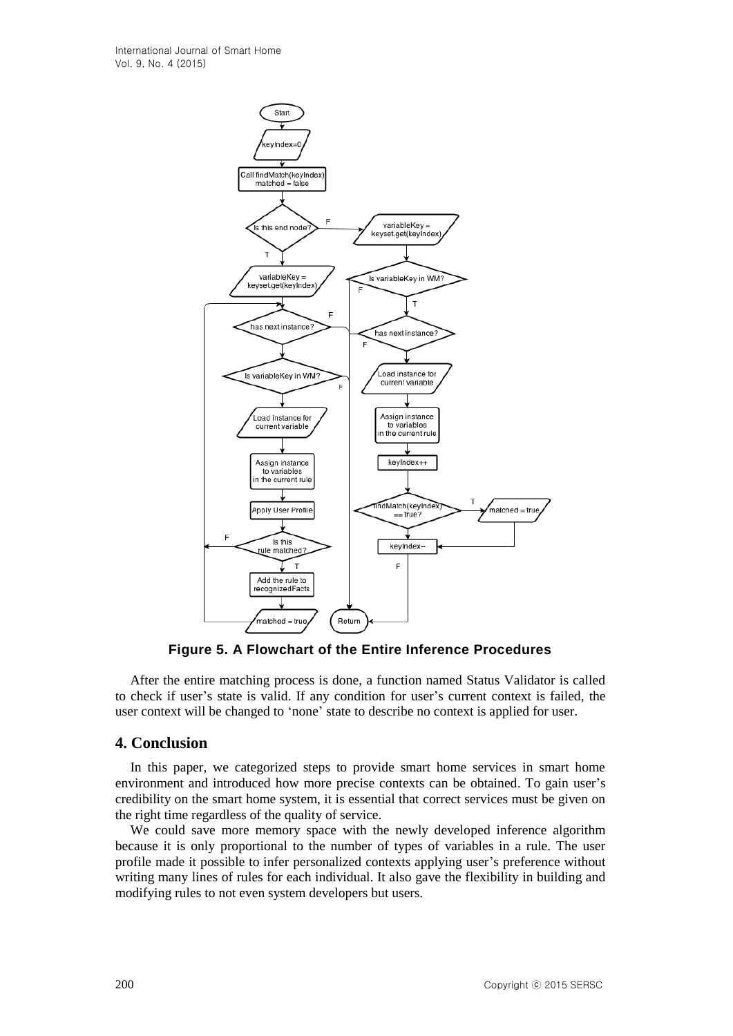

**Figure 5. A Flowchart of the Entire Inference Procedures**

After the entire matching process is done, a function named Status Validator is called to check if user's state is valid. If any condition for user's current context is failed, the user context will be changed to 'none' state to describe no context is applied for user.

# **4. Conclusion**

In this paper, we categorized steps to provide smart home services in smart home environment and introduced how more precise contexts can be obtained. To gain user's credibility on the smart home system, it is essential that correct services must be given on the right time regardless of the quality of service.

We could save more memory space with the newly developed inference algorithm because it is only proportional to the number of types of variables in a rule. The user profile made it possible to infer personalized contexts applying user's preference without writing many lines of rules for each individual. It also gave the flexibility in building and modifying rules to not even system developers but users.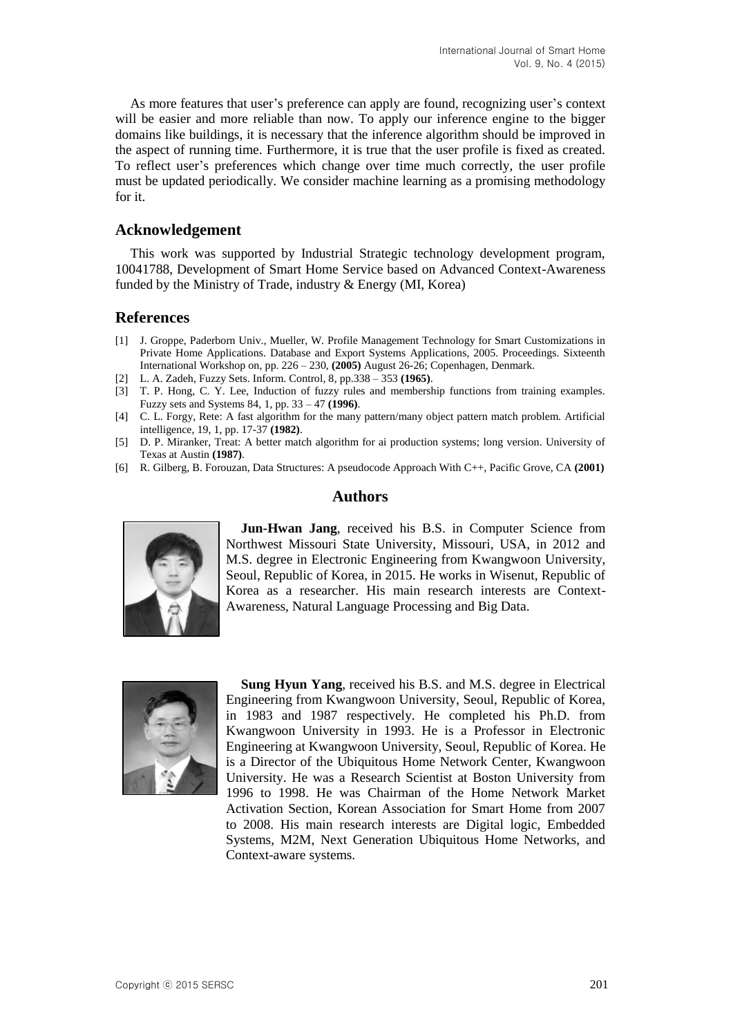As more features that user's preference can apply are found, recognizing user's context will be easier and more reliable than now. To apply our inference engine to the bigger domains like buildings, it is necessary that the inference algorithm should be improved in the aspect of running time. Furthermore, it is true that the user profile is fixed as created. To reflect user's preferences which change over time much correctly, the user profile must be updated periodically. We consider machine learning as a promising methodology for it.

## **Acknowledgement**

This work was supported by Industrial Strategic technology development program, 10041788, Development of Smart Home Service based on Advanced Context-Awareness funded by the Ministry of Trade, industry & Energy (MI, Korea)

## **References**

- [1] J. Groppe, Paderborn Univ., Mueller, W. Profile Management Technology for Smart Customizations in Private Home Applications. Database and Export Systems Applications, 2005. Proceedings. Sixteenth International Workshop on, pp. 226 – 230, **(2005)** August 26-26; Copenhagen, Denmark.
- [2] L. A. Zadeh, Fuzzy Sets. Inform. Control, 8, pp.338 353 **(1965)**.
- [3] T. P. Hong, C. Y. Lee, Induction of fuzzy rules and membership functions from training examples. Fuzzy sets and Systems 84, 1, pp. 33 – 47 **(1996)**.
- [4] C. L. Forgy, Rete: A fast algorithm for the many pattern/many object pattern match problem. Artificial intelligence, 19, 1, pp. 17-37 **(1982)**.
- [5] D. P. Miranker, Treat: A better match algorithm for ai production systems; long version. University of Texas at Austin **(1987)**.
- [6] R. Gilberg, B. Forouzan, Data Structures: A pseudocode Approach With C++, Pacific Grove, CA **(2001)**

## **Authors**



**Jun-Hwan Jang**, received his B.S. in Computer Science from Northwest Missouri State University, Missouri, USA, in 2012 and M.S. degree in Electronic Engineering from Kwangwoon University, Seoul, Republic of Korea, in 2015. He works in Wisenut, Republic of Korea as a researcher. His main research interests are Context-Awareness, Natural Language Processing and Big Data.



**Sung Hyun Yang**, received his B.S. and M.S. degree in Electrical Engineering from Kwangwoon University, Seoul, Republic of Korea, in 1983 and 1987 respectively. He completed his Ph.D. from Kwangwoon University in 1993. He is a Professor in Electronic Engineering at Kwangwoon University, Seoul, Republic of Korea. He is a Director of the Ubiquitous Home Network Center, Kwangwoon University. He was a Research Scientist at Boston University from 1996 to 1998. He was Chairman of the Home Network Market Activation Section, Korean Association for Smart Home from 2007 to 2008. His main research interests are Digital logic, Embedded Systems, M2M, Next Generation Ubiquitous Home Networks, and Context-aware systems.